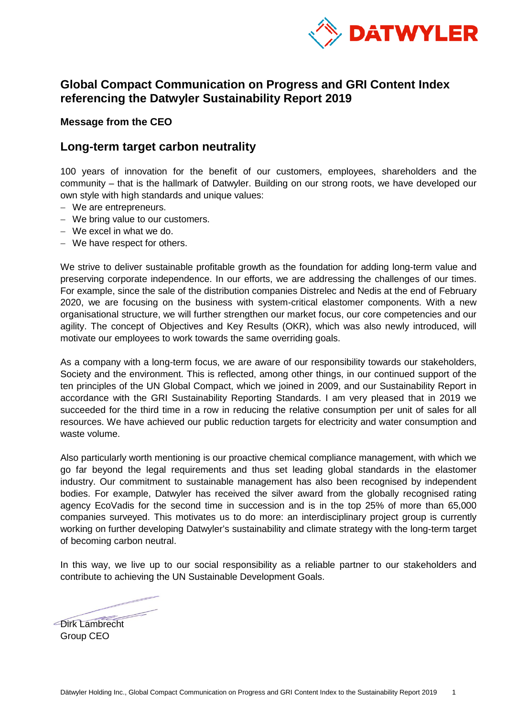

# **Global Compact Communication on Progress and GRI Content Index referencing the Datwyler Sustainability Report 2019**

### **Message from the CEO**

### **Long-term target carbon neutrality**

100 years of innovation for the benefit of our customers, employees, shareholders and the community – that is the hallmark of Datwyler. Building on our strong roots, we have developed our own style with high standards and unique values:

- − We are entrepreneurs.
- − We bring value to our customers.
- − We excel in what we do.
- − We have respect for others.

We strive to deliver sustainable profitable growth as the foundation for adding long-term value and preserving corporate independence. In our efforts, we are addressing the challenges of our times. For example, since the sale of the distribution companies Distrelec and Nedis at the end of February 2020, we are focusing on the business with system-critical elastomer components. With a new organisational structure, we will further strengthen our market focus, our core competencies and our agility. The concept of Objectives and Key Results (OKR), which was also newly introduced, will motivate our employees to work towards the same overriding goals.

As a company with a long-term focus, we are aware of our responsibility towards our stakeholders, Society and the environment. This is reflected, among other things, in our continued support of the ten principles of the UN Global Compact, which we joined in 2009, and our Sustainability Report in accordance with the GRI Sustainability Reporting Standards. I am very pleased that in 2019 we succeeded for the third time in a row in reducing the relative consumption per unit of sales for all resources. We have achieved our public reduction targets for electricity and water consumption and waste volume.

Also particularly worth mentioning is our proactive chemical compliance management, with which we go far beyond the legal requirements and thus set leading global standards in the elastomer industry. Our commitment to sustainable management has also been recognised by independent bodies. For example, Datwyler has received the silver award from the globally recognised rating agency EcoVadis for the second time in succession and is in the top 25% of more than 65,000 companies surveyed. This motivates us to do more: an interdisciplinary project group is currently working on further developing Datwyler's sustainability and climate strategy with the long-term target of becoming carbon neutral.

In this way, we live up to our social responsibility as a reliable partner to our stakeholders and contribute to achieving the UN Sustainable Development Goals.

Dirk Lambrecht Group CEO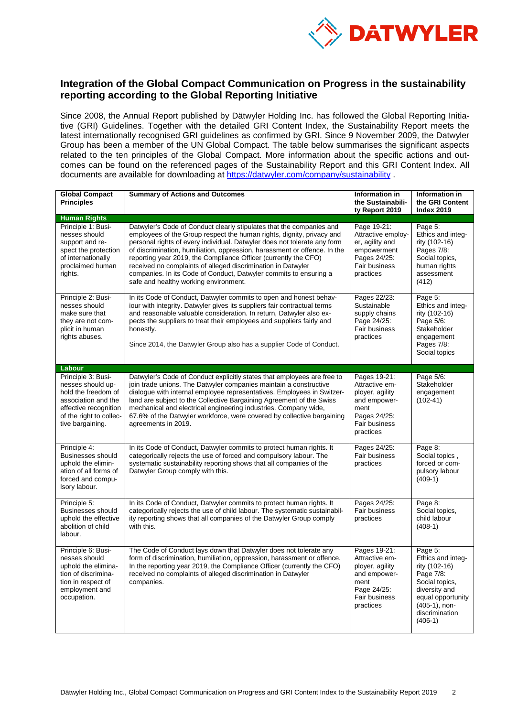

### **Integration of the Global Compact Communication on Progress in the sustainability reporting according to the Global Reporting Initiative**

Since 2008, the Annual Report published by Dätwyler Holding Inc. has followed the Global Reporting Initiative (GRI) Guidelines. Together with the detailed GRI Content Index, the Sustainability Report meets the latest internationally recognised GRI guidelines as confirmed by GRI. Since 9 November 2009, the Datwyler Group has been a member of the UN Global Compact. The table below summarises the significant aspects related to the ten principles of the Global Compact. More information about the specific actions and outcomes can be found on the referenced pages of the Sustainability Report and this GRI Content Index. All documents are available for downloading at<https://datwyler.com/company/sustainability> .

| <b>Global Compact</b><br><b>Principles</b>                                                                                                                    | <b>Summary of Actions and Outcomes</b>                                                                                                                                                                                                                                                                                                                                                                                                                                                                                                                  | Information in<br>the Sustainabili-<br>ty Report 2019                                                                   | Information in<br>the GRI Content<br><b>Index 2019</b>                                                                                                                |
|---------------------------------------------------------------------------------------------------------------------------------------------------------------|---------------------------------------------------------------------------------------------------------------------------------------------------------------------------------------------------------------------------------------------------------------------------------------------------------------------------------------------------------------------------------------------------------------------------------------------------------------------------------------------------------------------------------------------------------|-------------------------------------------------------------------------------------------------------------------------|-----------------------------------------------------------------------------------------------------------------------------------------------------------------------|
| <b>Human Rights</b>                                                                                                                                           |                                                                                                                                                                                                                                                                                                                                                                                                                                                                                                                                                         |                                                                                                                         |                                                                                                                                                                       |
| Principle 1: Busi-<br>nesses should<br>support and re-<br>spect the protection<br>of internationally<br>proclaimed human<br>rights.                           | Datwyler's Code of Conduct clearly stipulates that the companies and<br>employees of the Group respect the human rights, dignity, privacy and<br>personal rights of every individual. Datwyler does not tolerate any form<br>of discrimination, humiliation, oppression, harassment or offence. In the<br>reporting year 2019, the Compliance Officer (currently the CFO)<br>received no complaints of alleged discrimination in Datwyler<br>companies. In its Code of Conduct, Datwyler commits to ensuring a<br>safe and healthy working environment. | Page 19-21:<br>Attractive employ-<br>er, agility and<br>empowerment<br>Pages 24/25:<br>Fair business<br>practices       | Page 5:<br>Ethics and integ-<br>rity (102-16)<br>Pages 7/8:<br>Social topics,<br>human rights<br>assessment<br>(412)                                                  |
| Principle 2: Busi-<br>nesses should<br>make sure that<br>they are not com-<br>plicit in human<br>rights abuses.                                               | In its Code of Conduct, Datwyler commits to open and honest behav-<br>iour with integrity. Datwyler gives its suppliers fair contractual terms<br>and reasonable valuable consideration. In return, Datwyler also ex-<br>pects the suppliers to treat their employees and suppliers fairly and<br>honestly.<br>Since 2014, the Datwyler Group also has a supplier Code of Conduct.                                                                                                                                                                      | Pages 22/23:<br>Sustainable<br>supply chains<br>Page 24/25:<br><b>Fair business</b><br>practices                        | Page 5:<br>Ethics and integ-<br>rity (102-16)<br>Page 5/6:<br>Stakeholder<br>engagement<br>Pages 7/8:<br>Social topics                                                |
| <b>Labour</b>                                                                                                                                                 |                                                                                                                                                                                                                                                                                                                                                                                                                                                                                                                                                         |                                                                                                                         |                                                                                                                                                                       |
| Principle 3: Busi-<br>nesses should up-<br>hold the freedom of<br>association and the<br>effective recognition<br>of the right to collec-<br>tive bargaining. | Datwyler's Code of Conduct explicitly states that employees are free to<br>join trade unions. The Datwyler companies maintain a constructive<br>dialogue with internal employee representatives. Employees in Switzer-<br>land are subject to the Collective Bargaining Agreement of the Swiss<br>mechanical and electrical engineering industries. Company wide,<br>67.6% of the Datwyler workforce, were covered by collective bargaining<br>agreements in 2019.                                                                                      | Pages 19-21:<br>Attractive em-<br>ployer, agility<br>and empower-<br>ment<br>Pages 24/25:<br>Fair business<br>practices | Page 5/6:<br>Stakeholder<br>engagement<br>$(102-41)$                                                                                                                  |
| Principle 4:<br>Businesses should<br>uphold the elimin-<br>ation of all forms of<br>forced and compu-<br>Isory labour.                                        | In its Code of Conduct, Datwyler commits to protect human rights. It<br>categorically rejects the use of forced and compulsory labour. The<br>systematic sustainability reporting shows that all companies of the<br>Datwyler Group comply with this.                                                                                                                                                                                                                                                                                                   | Pages 24/25:<br>Fair business<br>practices                                                                              | Page 8:<br>Social topics,<br>forced or com-<br>pulsory labour<br>$(409-1)$                                                                                            |
| Principle 5:<br><b>Businesses should</b><br>uphold the effective<br>abolition of child<br>labour.                                                             | In its Code of Conduct, Datwyler commits to protect human rights. It<br>categorically rejects the use of child labour. The systematic sustainabil-<br>ity reporting shows that all companies of the Datwyler Group comply<br>with this.                                                                                                                                                                                                                                                                                                                 | Pages 24/25:<br>Fair business<br>practices                                                                              | Page 8:<br>Social topics,<br>child labour<br>$(408-1)$                                                                                                                |
| Principle 6: Busi-<br>nesses should<br>uphold the elimina-<br>tion of discrimina-<br>tion in respect of<br>employment and<br>occupation.                      | The Code of Conduct lays down that Datwyler does not tolerate any<br>form of discrimination, humiliation, oppression, harassment or offence.<br>In the reporting year 2019, the Compliance Officer (currently the CFO)<br>received no complaints of alleged discrimination in Datwyler<br>companies.                                                                                                                                                                                                                                                    | Pages 19-21:<br>Attractive em-<br>ployer, agility<br>and empower-<br>ment<br>Page 24/25:<br>Fair business<br>practices  | Page 5:<br>Ethics and integ-<br>rity (102-16)<br>Page 7/8:<br>Social topics,<br>diversity and<br>equal opportunity<br>$(405-1)$ , non-<br>discrimination<br>$(406-1)$ |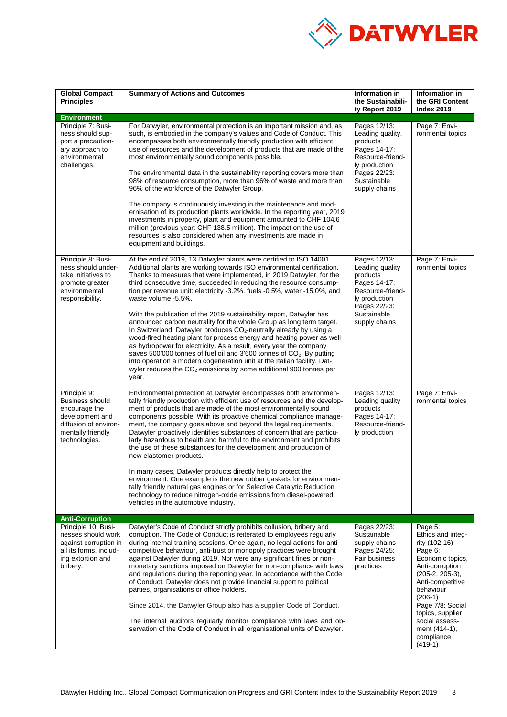

| <b>Global Compact</b><br><b>Principles</b>                                                                                         | <b>Summary of Actions and Outcomes</b>                                                                                                                                                                                                                                                                                                                                                                                                                                                                                                                                                                                                                                                                                                                                                                                                                                                                                                                                                                                           | Information in<br>the Sustainabili-<br>ty Report 2019                                                                                             | <b>Information in</b><br>the GRI Content<br><b>Index 2019</b>                                                                                                                                                                                                            |
|------------------------------------------------------------------------------------------------------------------------------------|----------------------------------------------------------------------------------------------------------------------------------------------------------------------------------------------------------------------------------------------------------------------------------------------------------------------------------------------------------------------------------------------------------------------------------------------------------------------------------------------------------------------------------------------------------------------------------------------------------------------------------------------------------------------------------------------------------------------------------------------------------------------------------------------------------------------------------------------------------------------------------------------------------------------------------------------------------------------------------------------------------------------------------|---------------------------------------------------------------------------------------------------------------------------------------------------|--------------------------------------------------------------------------------------------------------------------------------------------------------------------------------------------------------------------------------------------------------------------------|
| <b>Environment</b>                                                                                                                 |                                                                                                                                                                                                                                                                                                                                                                                                                                                                                                                                                                                                                                                                                                                                                                                                                                                                                                                                                                                                                                  |                                                                                                                                                   |                                                                                                                                                                                                                                                                          |
| Principle 7: Busi-<br>ness should sup-<br>port a precaution-<br>ary approach to<br>environmental<br>challenges.                    | For Datwyler, environmental protection is an important mission and, as<br>such, is embodied in the company's values and Code of Conduct. This<br>encompasses both environmentally friendly production with efficient<br>use of resources and the development of products that are made of the<br>most environmentally sound components possible.<br>The environmental data in the sustainability reporting covers more than<br>98% of resource consumption, more than 96% of waste and more than<br>96% of the workforce of the Datwyler Group.<br>The company is continuously investing in the maintenance and mod-<br>ernisation of its production plants worldwide. In the reporting year, 2019<br>investments in property, plant and equipment amounted to CHF 104.6<br>million (previous year: CHF 138.5 million). The impact on the use of<br>resources is also considered when any investments are made in<br>equipment and buildings.                                                                                    | Pages 12/13:<br>Leading quality,<br>products<br>Pages 14-17:<br>Resource-friend-<br>ly production<br>Pages 22/23:<br>Sustainable<br>supply chains | Page 7: Envi-<br>ronmental topics                                                                                                                                                                                                                                        |
| Principle 8: Busi-<br>ness should under-<br>take initiatives to<br>promote greater<br>environmental<br>responsibility.             | At the end of 2019, 13 Datwyler plants were certified to ISO 14001.<br>Additional plants are working towards ISO environmental certification.<br>Thanks to measures that were implemented, in 2019 Datwyler, for the<br>third consecutive time, succeeded in reducing the resource consump-<br>tion per revenue unit: electricity -3.2%, fuels -0.5%, water -15.0%, and<br>waste volume -5.5%.<br>With the publication of the 2019 sustainability report, Datwyler has<br>announced carbon neutrality for the whole Group as long term target.<br>In Switzerland, Datwyler produces CO <sub>2</sub> -neutrally already by using a<br>wood-fired heating plant for process energy and heating power as well<br>as hydropower for electricity. As a result, every year the company<br>saves 500'000 tonnes of fuel oil and 3'600 tonnes of CO <sub>2</sub> . By putting<br>into operation a modern cogeneration unit at the Italian facility, Dat-<br>wyler reduces the $CO2$ emissions by some additional 900 tonnes per<br>year. | Pages 12/13:<br>Leading quality<br>products<br>Pages 14-17:<br>Resource-friend-<br>ly production<br>Pages 22/23:<br>Sustainable<br>supply chains  | Page 7: Envi-<br>ronmental topics                                                                                                                                                                                                                                        |
| Principle 9:<br>Business should<br>encourage the<br>development and<br>diffusion of environ-<br>mentally friendly<br>technologies. | Environmental protection at Datwyler encompasses both environmen-<br>tally friendly production with efficient use of resources and the develop-<br>ment of products that are made of the most environmentally sound<br>components possible. With its proactive chemical compliance manage-<br>ment, the company goes above and beyond the legal requirements.<br>Datwyler proactively identifies substances of concern that are particu-<br>larly hazardous to health and harmful to the environment and prohibits<br>the use of these substances for the development and production of<br>new elastomer products.<br>In many cases, Datwyler products directly help to protect the<br>environment. One example is the new rubber gaskets for environmen-<br>tally friendly natural gas engines or for Selective Catalytic Reduction<br>technology to reduce nitrogen-oxide emissions from diesel-powered<br>vehicles in the automotive industry.                                                                                | Pages 12/13:<br>Leading quality<br>products<br>Pages 14-17:<br>Resource-friend-<br>ly production                                                  | Page 7: Envi-<br>ronmental topics                                                                                                                                                                                                                                        |
| <b>Anti-Corruption</b>                                                                                                             |                                                                                                                                                                                                                                                                                                                                                                                                                                                                                                                                                                                                                                                                                                                                                                                                                                                                                                                                                                                                                                  |                                                                                                                                                   |                                                                                                                                                                                                                                                                          |
| Principle 10: Busi-<br>nesses should work<br>against corruption in<br>all its forms, includ-<br>ing extortion and<br>bribery.      | Datwyler's Code of Conduct strictly prohibits collusion, bribery and<br>corruption. The Code of Conduct is reiterated to employees regularly<br>during internal training sessions. Once again, no legal actions for anti-<br>competitive behaviour, anti-trust or monopoly practices were brought<br>against Datwyler during 2019. Nor were any significant fines or non-<br>monetary sanctions imposed on Datwyler for non-compliance with laws<br>and regulations during the reporting year. In accordance with the Code<br>of Conduct, Datwyler does not provide financial support to political<br>parties, organisations or office holders.<br>Since 2014, the Datwyler Group also has a supplier Code of Conduct.<br>The internal auditors regularly monitor compliance with laws and ob-<br>servation of the Code of Conduct in all organisational units of Datwyler.                                                                                                                                                      | Pages 22/23:<br>Sustainable<br>supply chains<br>Pages 24/25:<br><b>Fair business</b><br>practices                                                 | Page 5:<br>Ethics and inteq-<br>rity (102-16)<br>Page 6:<br>Economic topics,<br>Anti-corruption<br>$(205-2, 205-3),$<br>Anti-competitive<br>behaviour<br>$(206-1)$<br>Page 7/8: Social<br>topics, supplier<br>social assess-<br>ment (414-1),<br>compliance<br>$(419-1)$ |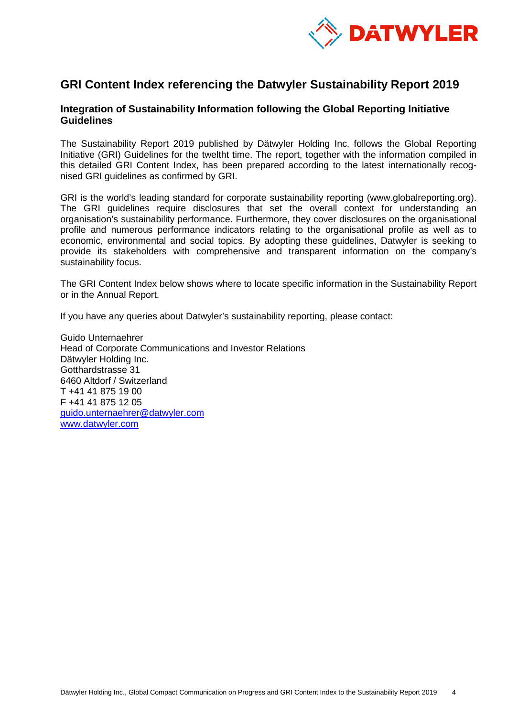

# **GRI Content Index referencing the Datwyler Sustainability Report 2019**

### **Integration of Sustainability Information following the Global Reporting Initiative Guidelines**

The Sustainability Report 2019 published by Dätwyler Holding Inc. follows the Global Reporting Initiative (GRI) Guidelines for the tweltht time. The report, together with the information compiled in this detailed GRI Content Index, has been prepared according to the latest internationally recognised GRI guidelines as confirmed by GRI.

GRI is the world's leading standard for corporate sustainability reporting (www.globalreporting.org). The GRI guidelines require disclosures that set the overall context for understanding an organisation's sustainability performance. Furthermore, they cover disclosures on the organisational profile and numerous performance indicators relating to the organisational profile as well as to economic, environmental and social topics. By adopting these guidelines, Datwyler is seeking to provide its stakeholders with comprehensive and transparent information on the company's sustainability focus.

The GRI Content Index below shows where to locate specific information in the Sustainability Report or in the Annual Report.

If you have any queries about Datwyler's sustainability reporting, please contact:

Guido Unternaehrer Head of Corporate Communications and Investor Relations Dätwyler Holding Inc. Gotthardstrasse 31 6460 Altdorf / Switzerland T +41 41 875 19 00 F +41 41 875 12 05 [guido.unternaehrer@datwyler.com](mailto:guido.unternaehrer@datwyler.com) [www.datwyler.com](http://www.datwyler.com/)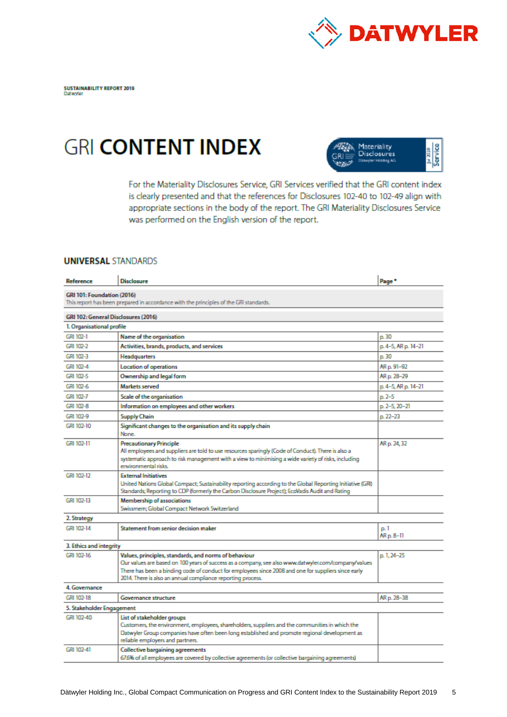

# **GRI CONTENT INDEX**



For the Materiality Disclosures Service, GRI Services verified that the GRI content index is clearly presented and that the references for Disclosures 102-40 to 102-49 align with appropriate sections in the body of the report. The GRI Materiality Disclosures Service was performed on the English version of the report.

#### **UNIVERSAL STANDARDS**

| Reference                  | Disclosure                                                                                                                                                                                                                                                                                                                         | Page <sup>*</sup>   |
|----------------------------|------------------------------------------------------------------------------------------------------------------------------------------------------------------------------------------------------------------------------------------------------------------------------------------------------------------------------------|---------------------|
| GRI 101: Foundation (2016) | This report has been prepared in accordance with the principles of the GRI standards.                                                                                                                                                                                                                                              |                     |
|                            | GRI 102: General Disclosures (2016)                                                                                                                                                                                                                                                                                                |                     |
| 1. Organisational profile  |                                                                                                                                                                                                                                                                                                                                    |                     |
| GRI 102-1                  | Name of the organisation                                                                                                                                                                                                                                                                                                           | p.30                |
| GRI 102-2                  | Activities, brands, products, and services                                                                                                                                                                                                                                                                                         | p. 4-5, AR p. 14-21 |
| GRI 102-3                  | Headquarters                                                                                                                                                                                                                                                                                                                       | p. 30               |
| GRI 102-4                  | <b>Location of operations</b>                                                                                                                                                                                                                                                                                                      | AR p. 91-92         |
| GRI 102-5                  | Ownership and legal form                                                                                                                                                                                                                                                                                                           | AR p. 28-29         |
| GRI 102-6                  | Markets served                                                                                                                                                                                                                                                                                                                     | p. 4-5, AR p. 14-21 |
| GRI 102-7                  | Scale of the organisation                                                                                                                                                                                                                                                                                                          | $n.2 - 5$           |
| GRI 102-8                  | Information on employees and other workers                                                                                                                                                                                                                                                                                         | p. 2-5, 20-21       |
| GRI 102-9                  | <b>Supply Chain</b>                                                                                                                                                                                                                                                                                                                | $p.22 - 23$         |
| GRI 102-10                 | Significant changes to the organisation and its supply chain<br>None.                                                                                                                                                                                                                                                              |                     |
| GRI 102-11                 | <b>Precautionary Principle</b><br>All employees and suppliers are told to use resources sparingly (Code of Conduct). There is also a<br>systematic approach to risk management with a view to minimising a wide variety of risks, including<br>erwironmental risks.                                                                | AR p. 24, 32        |
| GRI 102-12                 | <b>External Initiatives</b><br>United Nations Global Compact; Sustainability reporting according to the Global Reporting Initiative (GRI)<br>Standards; Reporting to CDP (formerly the Carbon Disclosure Project); EcoVadis Audit and Rating                                                                                       |                     |
| GRI 102-13                 | Membership of associations                                                                                                                                                                                                                                                                                                         |                     |
|                            | Swissmern; Global Compact Network Switzerland                                                                                                                                                                                                                                                                                      |                     |
| 2. Strategy                |                                                                                                                                                                                                                                                                                                                                    |                     |
| GRI 102-14                 | Statement from senior decision maker                                                                                                                                                                                                                                                                                               | p.1<br>AR p. 8-11   |
| 3. Ethics and integrity    |                                                                                                                                                                                                                                                                                                                                    |                     |
| GRI 102-16                 | Values, principles, standards, and norms of behaviour<br>Our values are based on 100 years of success as a company, see also www.datwyler.com/company/values<br>There has been a binding code of conduct for employees since 2008 and one for suppliers since early<br>2014. There is also an annual compliance reporting process. | p. 1, 24-25         |
| 4. Governance              |                                                                                                                                                                                                                                                                                                                                    |                     |
| GRI 102-18                 | Governance structure                                                                                                                                                                                                                                                                                                               | AR p. 28-38         |
| 5. Stakeholder Engagement  |                                                                                                                                                                                                                                                                                                                                    |                     |
| GRI 102-40                 | List of stakeholder groups<br>Customers, the environment, employees, shareholders, suppliers and the communities in which the<br>Datwyler Group companies have often been long established and promote regional development as<br>reliable employers and partners.                                                                 |                     |
| GRI 102-41                 | Collective bargaining agreements<br>67.6% of all employees are covered by collective agreements (or collective bargaining agreements)                                                                                                                                                                                              |                     |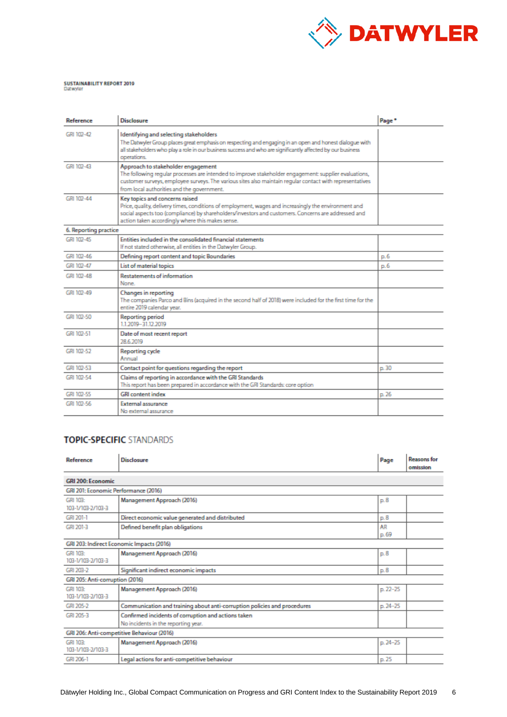

# SUSTAINABILITY REPORT 2019<br>Datwyler

| Reference             | <b>Disclosure</b>                                                                                                                                                                                                                                                                                     | Page <sup>+</sup> |
|-----------------------|-------------------------------------------------------------------------------------------------------------------------------------------------------------------------------------------------------------------------------------------------------------------------------------------------------|-------------------|
| GRI 102-42            | Identifying and selecting stakeholders<br>The Datwyler Group places great emphasis on respecting and engaging in an open and honest dialogue with<br>all stakeholders who play a role in our business success and who are significantly affected by our business<br>operations.                       |                   |
| GRI 102-43            | Approach to stakeholder engagement<br>The following regular processes are intended to improve stakeholder engagement: supplier evaluations,<br>customer surveys, employee surveys. The various sites also maintain regular contact with representatives<br>from local authorities and the government. |                   |
| GRI 102-44            | Key topics and concerns raised<br>Price, quality, delivery times, conditions of employment, wages and increasingly the environment and<br>social aspects too (compliance) by shareholders/investors and customers. Concerns are addressed and<br>action taken accordingly where this makes sense.     |                   |
| 6. Reporting practice |                                                                                                                                                                                                                                                                                                       |                   |
| GRI 102-45            | Entities included in the consolidated financial statements<br>If not stated otherwise, all entities in the Datwyler Group.                                                                                                                                                                            |                   |
| GRI 102-46            | Defining report content and topic Boundaries                                                                                                                                                                                                                                                          | D.6               |
| GRI 102-47            | List of material topics                                                                                                                                                                                                                                                                               | p.6               |
| GRI 102-48            | <b>Restatements of information</b><br>None.                                                                                                                                                                                                                                                           |                   |
| GRI 102-49            | Changes in reporting<br>The companies Parco and Bins (acquired in the second half of 2018) were included for the first time for the<br>entire 2019 calendar year.                                                                                                                                     |                   |
| GRI 102-50            | <b>Reporting period</b><br>112019-31122019                                                                                                                                                                                                                                                            |                   |
| GRI 102-51            | Date of most recent report<br>28.6.2019                                                                                                                                                                                                                                                               |                   |
| GRI 102-52            | <b>Reporting cycle</b><br>Annual                                                                                                                                                                                                                                                                      |                   |
| GRI 102-53            | Contact point for questions regarding the report                                                                                                                                                                                                                                                      | p. 30             |
| GRI 102-54            | Claims of reporting in accordance with the GRI Standards<br>This report has been prepared in accordance with the GRI Standards: core option                                                                                                                                                           |                   |
| GRI 102-55            | <b>GRI content index</b>                                                                                                                                                                                                                                                                              | p.26              |
| GRI 102-56            | <b>External assurance</b><br>No external assurance                                                                                                                                                                                                                                                    |                   |

### **TOPIC-SPECIFIC STANDARDS**

| Reference                                  | <b>Disclosure</b>                                                        | Page     | <b>Reasons for</b><br>omission |  |
|--------------------------------------------|--------------------------------------------------------------------------|----------|--------------------------------|--|
| <b>GRI 200: Economic</b>                   |                                                                          |          |                                |  |
| GRI 201: Economic Performance (2016)       |                                                                          |          |                                |  |
| GRI 103:                                   | Management Approach (2016)                                               | p.8      |                                |  |
| 103-1/103-2/103-3                          |                                                                          |          |                                |  |
| GRI 201-1                                  | Direct economic value generated and distributed                          | p.8      |                                |  |
| GRI 201-3                                  | Defined benefit plan obligations                                         | AR       |                                |  |
|                                            |                                                                          | p. 69    |                                |  |
|                                            | GRI 203: Indirect Economic Impacts (2016)                                |          |                                |  |
| GRI 103:                                   | Management Approach (2016)                                               | p.8      |                                |  |
| 103-1/103-2/103-3                          |                                                                          |          |                                |  |
| GRI 203-2                                  | Significant indirect economic impacts                                    | p.8      |                                |  |
| GRI 205: Anti-corruption (2016)            |                                                                          |          |                                |  |
| GRI 103:                                   | Management Approach (2016)                                               | p. 22-25 |                                |  |
| 103-1/103-2/103-3                          |                                                                          |          |                                |  |
| GRI 205-2                                  | Communication and training about anti-corruption policies and procedures | p. 24-25 |                                |  |
| GRI 205-3                                  | Confirmed incidents of corruption and actions taken                      |          |                                |  |
|                                            | No incidents in the reporting year.                                      |          |                                |  |
| GRI 206: Anti-competitive Behaviour (2016) |                                                                          |          |                                |  |
| GRI 103:                                   | Management Approach (2016)                                               | p. 24-25 |                                |  |
| 103-1/103-2/103-3                          |                                                                          |          |                                |  |
| GRI 206-1                                  | Legal actions for anti-competitive behaviour                             | p. 25    |                                |  |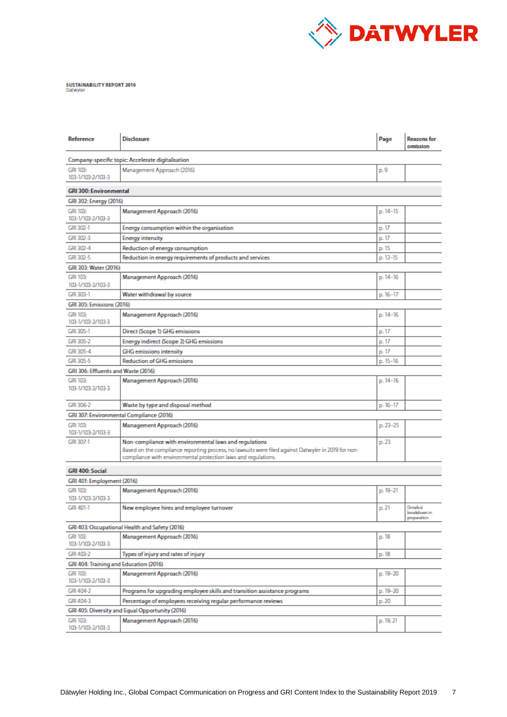

## SUSTAINABILITY REPORT 2019<br>Datwyler

| Reference                                       | Disclosure                                                                                                                                                            | Page      | <b>Reasons for</b><br>omission          |  |
|-------------------------------------------------|-----------------------------------------------------------------------------------------------------------------------------------------------------------------------|-----------|-----------------------------------------|--|
|                                                 | Company-specific topic: Accelerate digitalisation                                                                                                                     |           |                                         |  |
| GRI 103:<br>103-1/103-2/103-3                   | Management Approach (2016)                                                                                                                                            | p. 9      |                                         |  |
| <b>GRI 300: Environmental</b>                   |                                                                                                                                                                       |           |                                         |  |
| GRI 302: Energy (2016)                          |                                                                                                                                                                       |           |                                         |  |
| GRI 103:<br>103-1/103-2/103-3                   | Management Approach (2016)                                                                                                                                            | p. 14-15  |                                         |  |
| GRI 302-1                                       | Energy consumption within the organisation                                                                                                                            | p. 17     |                                         |  |
| GRI 302-3                                       | <b>Energy intensity</b>                                                                                                                                               | p. 17     |                                         |  |
| GRI 302-4                                       | Reduction of energy consumption                                                                                                                                       | p. 15     |                                         |  |
| GRI 302-5                                       | Reduction in energy requirements of products and services                                                                                                             | p. 12-15  |                                         |  |
| GRI 303: Water (2016)                           |                                                                                                                                                                       |           |                                         |  |
| GRI 103:<br>103-1/103-2/103-3                   | Management Approach (2016)                                                                                                                                            | p. 14-16  |                                         |  |
| GRI 303-1                                       | Water withdrawal by source                                                                                                                                            | p. 16-17  |                                         |  |
| GRI 305: Emissions (2016)                       |                                                                                                                                                                       |           |                                         |  |
| GRI 103:<br>103-1/103-2/103-3                   | Management Approach (2016)                                                                                                                                            | p. 14-16  |                                         |  |
| GRI 305-1                                       | Direct (Scope 1) GHG emissions                                                                                                                                        | p. 17     |                                         |  |
| GRI 305-2                                       | Energy indirect (Scope 2) GHG emissions                                                                                                                               | p. 17     |                                         |  |
| GRI 305-4                                       | <b>GHG</b> emissions intensity                                                                                                                                        | p. 17     |                                         |  |
| GRI 305-5                                       | <b>Reduction of GHG emissions</b>                                                                                                                                     | p. 15-16  |                                         |  |
| GRI 306: Effluents and Waste (2016)             |                                                                                                                                                                       |           |                                         |  |
| GRI 103:<br>103-1/103-2/103-3                   | Management Approach (2016)                                                                                                                                            | p. 14-16  |                                         |  |
| GRI 306-2                                       | Waste by type and disposal method                                                                                                                                     | p. 16-17  |                                         |  |
|                                                 | GRI 307: Environmental Compliance (2016)                                                                                                                              |           |                                         |  |
| GRI 103:<br>103-1/103-2/103-3                   | Management Approach (2016)                                                                                                                                            | p. 23-25  |                                         |  |
| GRI 307-1                                       | Non-compliance with environmental laws and regulations                                                                                                                | p. 23     |                                         |  |
|                                                 | -Based on the compliance reporting process, no lawsuits were filed against Datwyler in 2019 for non<br>compliance with environmental protection laws and regulations. |           |                                         |  |
| GRI 400: Social                                 |                                                                                                                                                                       |           |                                         |  |
| GRI 401: Employment (2016)                      |                                                                                                                                                                       |           |                                         |  |
| GRI 103:<br>103-1/103-2/103-3                   | Management Approach (2016)                                                                                                                                            | p. 19-21  |                                         |  |
| GRI 401-1                                       | New employee hires and employee turnover                                                                                                                              | p. 21     | Detailed<br>breakdown in<br>preparation |  |
| GRI 403: Occupational Health and Safety (2016)  |                                                                                                                                                                       |           |                                         |  |
| GRI 103:<br>103-1/103-2/103-3                   | Management Approach (2016)                                                                                                                                            | p. 18     |                                         |  |
| GRI 403-2                                       | Types of injury and rates of injury                                                                                                                                   | p. 18     |                                         |  |
| GRI 404: Training and Education (2016)          |                                                                                                                                                                       |           |                                         |  |
| GRI 103:<br>103-1/103-2/103-3                   | Management Approach (2016)                                                                                                                                            | p. 19-20  |                                         |  |
| GRI 404-2                                       | Programs for upgrading employee skills and transition assistance programs                                                                                             | p. 19-20  |                                         |  |
| GRI 404-3                                       | Percentage of employees receiving regular performance reviews                                                                                                         | p. 20     |                                         |  |
| GRI 405: Diversity and Equal Opportunity (2016) |                                                                                                                                                                       |           |                                         |  |
| GRI 103:<br>103-1/103-2/103-3                   | Management Approach (2016)                                                                                                                                            | p. 19, 21 |                                         |  |